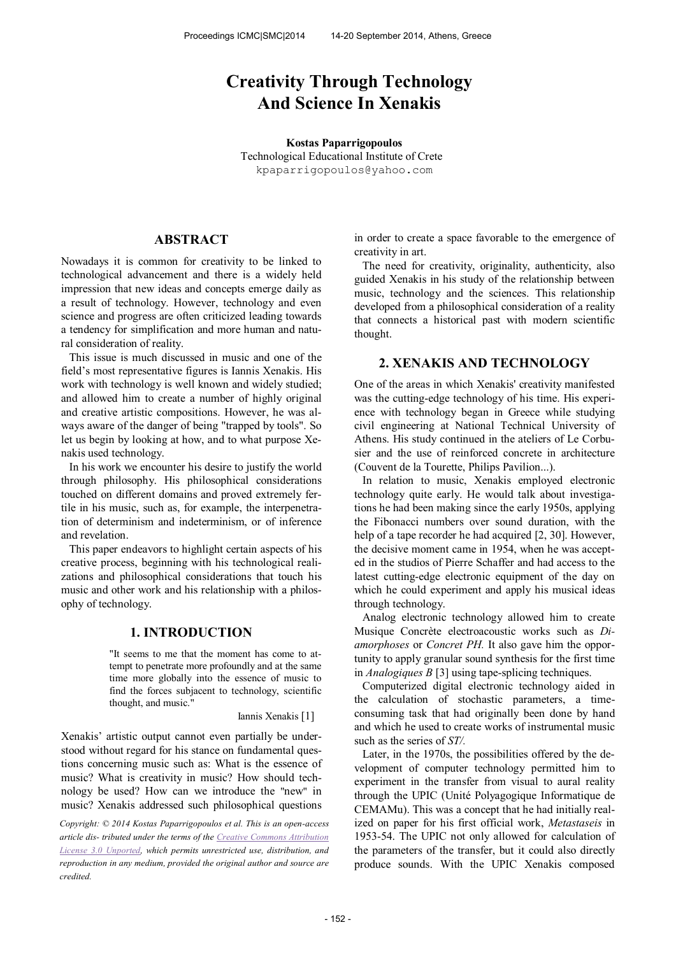# **Creativity Through Technology And Science In Xenakis**

**Kostas Paparrigopoulos**  Technological Educational Institute of Crete [kpaparrigopoulos@yahoo.com](mailto:author2@smcnetwork.org)

### **ABSTRACT**

Nowadays it is common for creativity to be linked to technological advancement and there is a widely held impression that new ideas and concepts emerge daily as a result of technology. However, technology and even science and progress are often criticized leading towards a tendency for simplification and more human and natural consideration of reality.

This issue is much discussed in music and one of the field's most representative figures is Iannis Xenakis. His work with technology is well known and widely studied; and allowed him to create a number of highly original and creative artistic compositions. However, he was always aware of the danger of being "trapped by tools". So let us begin by looking at how, and to what purpose Xenakis used technology.

In his work we encounter his desire to justify the world through philosophy. His philosophical considerations touched on different domains and proved extremely fertile in his music, such as, for example, the interpenetration of determinism and indeterminism, or of inference and revelation.

This paper endeavors to highlight certain aspects of his creative process, beginning with his technological realizations and philosophical considerations that touch his music and other work and his relationship with a philosophy of technology.

#### **1. INTRODUCTION**

"It seems to me that the moment has come to attempt to penetrate more profoundly and at the same time more globally into the essence of music to find the forces subjacent to technology, scientific thought, and music."

Iannis Xenakis [1]

Xenakis' artistic output cannot even partially be understood without regard for his stance on fundamental questions concerning music such as: What is the essence of music? What is creativity in music? How should technology be used? How can we introduce the "new" in music? Xenakis addressed such philosophical questions

*Copyright:* © 2014 *Kostas Paparrigopoulos et al. This is an open-access article dis- tributed under the terms of th[e Creative Commons Attribution](http://creativecommons.org/licenses/by/3.0/)  [License 3.0 Unported,](http://creativecommons.org/licenses/by/3.0/) which permits unrestricted use, distribution, and reproduction in any medium, provided the original author and source are credited.* 

in order to create a space favorable to the emergence of creativity in art.

The need for creativity, originality, authenticity, also guided Xenakis in his study of the relationship between music, technology and the sciences. This relationship developed from a philosophical consideration of a reality that connects a historical past with modern scientific thought.

#### **2. XENAKIS AND TECHNOLOGY**

One of the areas in which Xenakis' creativity manifested was the cutting-edge technology of his time. His experience with technology began in Greece while studying civil engineering at National Technical University of Athens. His study continued in the ateliers of Le Corbusier and the use of reinforced concrete in architecture (Couvent de la Tourette, Philips Pavilion...).

In relation to music, Xenakis employed electronic technology quite early. He would talk about investigations he had been making since the early 1950s, applying the Fibonacci numbers over sound duration, with the help of a tape recorder he had acquired [2, 30]. However, the decisive moment came in 1954, when he was accepted in the studios of Pierre Schaffer and had access to the latest cutting-edge electronic equipment of the day on which he could experiment and apply his musical ideas through technology.

Analog electronic technology allowed him to create Musique Concrète electroacoustic works such as Di*amorphoses* or *Concret PH.* It also gave him the opportunity to apply granular sound synthesis for the first time in *Analogiques B* [3] using tape-splicing techniques.

Computerized digital electronic technology aided in the calculation of stochastic parameters, a timeconsuming task that had originally been done by hand and which he used to create works of instrumental music such as the series of *ST/.*

Later, in the 1970s, the possibilities offered by the development of computer technology permitted him to experiment in the transfer from visual to aural reality through the UPIC (Unité Polyagogique Informatique de CEMAMu). This was a concept that he had initially realized on paper for his first official work, *Metastaseis* in 1953-54. The UPIC not only allowed for calculation of the parameters of the transfer, but it could also directly produce sounds. With the UPIC Xenakis composed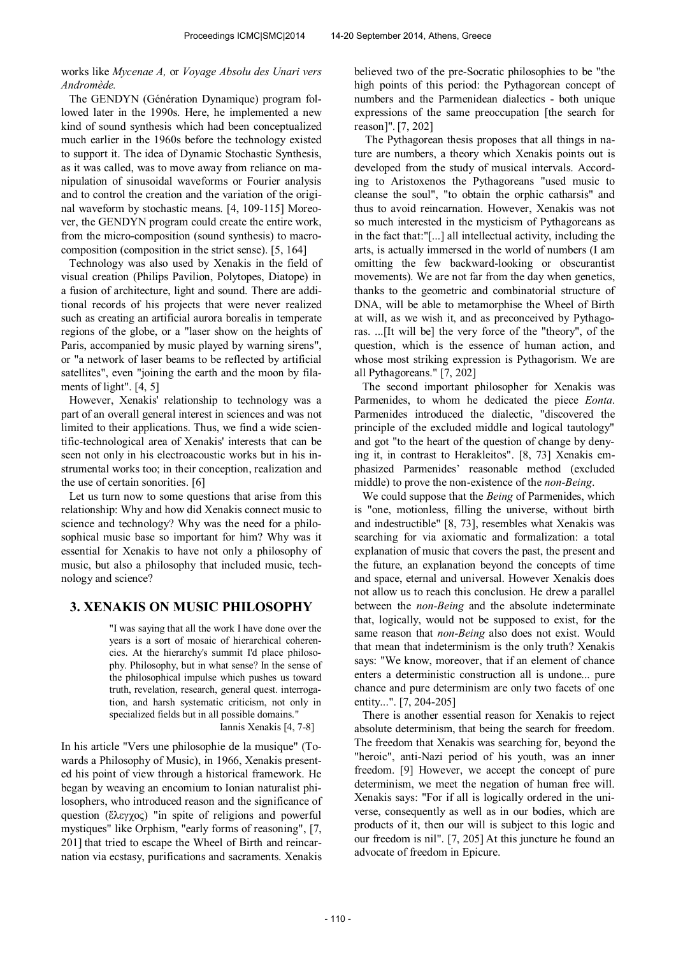works like *Mycenae A,* or *Voyage Absolu des Unari vers Andromède.* 

The GENDYN (Génération Dynamique) program followed later in the 1990s. Here, he implemented a new kind of sound synthesis which had been conceptualized much earlier in the 1960s before the technology existed to support it. The idea of Dynamic Stochastic Synthesis, as it was called, was to move away from reliance on manipulation of sinusoidal waveforms or Fourier analysis and to control the creation and the variation of the original waveform by stochastic means. [4, 109-115] Moreover, the GENDYN program could create the entire work, from the micro-composition (sound synthesis) to macrocomposition (composition in the strict sense). [5, 164]

Technology was also used by Xenakis in the field of visual creation (Philips Pavilion, Polytopes, Diatope) in a fusion of architecture, light and sound. There are additional records of his projects that were never realized such as creating an artificial aurora borealis in temperate regions of the globe, or a "laser show on the heights of Paris, accompanied by music played by warning sirens", or "a network of laser beams to be reflected by artificial satellites", even "joining the earth and the moon by filaments of light". [4, 5]

However, Xenakis' relationship to technology was a part of an overall general interest in sciences and was not limited to their applications. Thus, we find a wide scientific-technological area of Xenakis' interests that can be seen not only in his electroacoustic works but in his instrumental works too; in their conception, realization and the use of certain sonorities. [6]

Let us turn now to some questions that arise from this relationship: Why and how did Xenakis connect music to science and technology? Why was the need for a philosophical music base so important for him? Why was it essential for Xenakis to have not only a philosophy of music, but also a philosophy that included music, technology and science?

#### **3. XENAKIS ON MUSIC PHILOSOPHY**

"I was saying that all the work I have done over the years is a sort of mosaic of hierarchical coherencies. At the hierarchy's summit I'd place philosophy. Philosophy, but in what sense? In the sense of the philosophical impulse which pushes us toward truth, revelation, research, general quest. interrogation, and harsh systematic criticism, not only in specialized fields but in all possible domains."

Iannis Xenakis [4, 7-8]

In his article "Vers une philosophie de la musique" (Towards a Philosophy of Music), in 1966, Xenakis presented his point of view through a historical framework. He began by weaving an encomium to Ionian naturalist philosophers, who introduced reason and the significance of question (ἔλεγχος) "in spite of religions and powerful mystiques" like Orphism, "early forms of reasoning", [7, 201] that tried to escape the Wheel of Birth and reincarnation via ecstasy, purifications and sacraments. Xenakis

believed two of the pre-Socratic philosophies to be "the high points of this period: the Pythagorean concept of numbers and the Parmenidean dialectics - both unique expressions of the same preoccupation [the search for reason]". [7, 202]

 The Pythagorean thesis proposes that all things in nature are numbers, a theory which Xenakis points out is developed from the study of musical intervals. According to Aristoxenos the Pythagoreans "used music to cleanse the soul", "to obtain the orphic catharsis" and thus to avoid reincarnation. However, Xenakis was not so much interested in the mysticism of Pythagoreans as in the fact that:"[...] all intellectual activity, including the arts, is actually immersed in the world of numbers (I am omitting the few backward-looking or obscurantist movements). We are not far from the day when genetics, thanks to the geometric and combinatorial structure of DNA, will be able to metamorphise the Wheel of Birth at will, as we wish it, and as preconceived by Pythagoras. ...[It will be] the very force of the "theory", of the question, which is the essence of human action, and whose most striking expression is Pythagorism. We are all Pythagoreans." [7, 202]

The second important philosopher for Xenakis was Parmenides, to whom he dedicated the piece *Eonta*. Parmenides introduced the dialectic, "discovered the principle of the excluded middle and logical tautology" and got "to the heart of the question of change by denying it, in contrast to Herakleitos". [8, 73] Xenakis emphasized Parmenides' reasonable method (excluded middle) to prove the non-existence of the *non-Being*.

We could suppose that the *Being* of Parmenides, which is "one, motionless, filling the universe, without birth and indestructible" [8, 73], resembles what Xenakis was searching for via axiomatic and formalization: a total explanation of music that covers the past, the present and the future, an explanation beyond the concepts of time and space, eternal and universal. However Xenakis does not allow us to reach this conclusion. He drew a parallel between the *non-Being* and the absolute indeterminate that, logically, would not be supposed to exist, for the same reason that *non-Being* also does not exist. Would that mean that indeterminism is the only truth? Xenakis says: "We know, moreover, that if an element of chance enters a deterministic construction all is undone... pure chance and pure determinism are only two facets of one entity...". [7, 204-205]

There is another essential reason for Xenakis to reject absolute determinism, that being the search for freedom. The freedom that Xenakis was searching for, beyond the "heroic", anti-Nazi period of his youth, was an inner freedom. [9] However, we accept the concept of pure determinism, we meet the negation of human free will. Xenakis says: "For if all is logically ordered in the universe, consequently as well as in our bodies, which are products of it, then our will is subject to this logic and our freedom is nil". [7, 205] At this juncture he found an advocate of freedom in Epicure.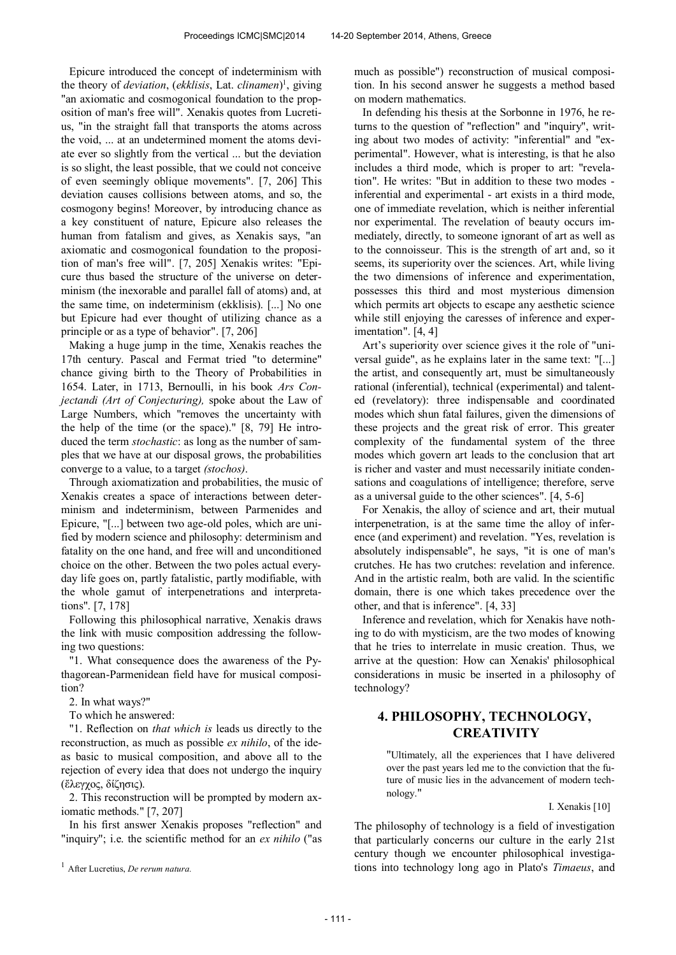Epicure introduced the concept of indeterminism with the theory of *deviation*, (*ekklisis*, Lat. *clinamen*) 1 , giving "an axiomatic and cosmogonical foundation to the proposition of man's free will". Xenakis quotes from Lucretius, "in the straight fall that transports the atoms across the void, ... at an undetermined moment the atoms deviate ever so slightly from the vertical ... but the deviation is so slight, the least possible, that we could not conceive of even seemingly oblique movements". [7, 206] This deviation causes collisions between atoms, and so, the cosmogony begins! Moreover, by introducing chance as a key constituent of nature, Epicure also releases the human from fatalism and gives, as Xenakis says, "an axiomatic and cosmogonical foundation to the proposition of man's free will". [7, 205] Xenakis writes: "Epicure thus based the structure of the universe on determinism (the inexorable and parallel fall of atoms) and, at the same time, on indeterminism (ekklisis). [...] No one but Epicure had ever thought of utilizing chance as a principle or as a type of behavior". [7, 206]

Making a huge jump in the time, Xenakis reaches the 17th century. Pascal and Fermat tried "to determine" chance giving birth to the Theory of Probabilities in 1654. Later, in 1713, Bernoulli, in his book *Ars Conjectandi (Art of Conjecturing),* spoke about the Law of Large Numbers, which "removes the uncertainty with the help of the time (or the space)." [8, 79] He introduced the term *stochastic*: as long as the number of samples that we have at our disposal grows, the probabilities converge to a value, to a target *(stochos)*.

Through axiomatization and probabilities, the music of Xenakis creates a space of interactions between determinism and indeterminism, between Parmenides and Epicure, "[...] between two age-old poles, which are unified by modern science and philosophy: determinism and fatality on the one hand, and free will and unconditioned choice on the other. Between the two poles actual everyday life goes on, partly fatalistic, partly modifiable, with the whole gamut of interpenetrations and interpretations". [7, 178]

Following this philosophical narrative, Xenakis draws the link with music composition addressing the following two questions:

"1. What consequence does the awareness of the Pythagorean-Parmenidean field have for musical composition?

2. In what ways?"

To which he answered:

"1. Reflection on *that which is* leads us directly to the reconstruction, as much as possible *ex nihilo*, of the ideas basic to musical composition, and above all to the rejection of every idea that does not undergo the inquiry (ἔλεγγος, δίζησις).

2. This reconstruction will be prompted by modern axiomatic methods." [7, 207]

In his first answer Xenakis proposes "reflection" and "inquiry"; i.e. the scientific method for an *ex nihilo* ("as much as possible") reconstruction of musical composition. In his second answer he suggests a method based on modern mathematics.

In defending his thesis at the Sorbonne in 1976, he returns to the question of "reflection" and "inquiry", writing about two modes of activity: "inferential" and "experimental". However, what is interesting, is that he also includes a third mode, which is proper to art: "revelation". He writes: "But in addition to these two modes inferential and experimental - art exists in a third mode, one of immediate revelation, which is neither inferential nor experimental. The revelation of beauty occurs immediately, directly, to someone ignorant of art as well as to the connoisseur. This is the strength of art and, so it seems, its superiority over the sciences. Art, while living the two dimensions of inference and experimentation, possesses this third and most mysterious dimension which permits art objects to escape any aesthetic science while still enjoying the caresses of inference and experimentation". [4, 4]

Art's superiority over science gives it the role of "universal guide", as he explains later in the same text: "[...] the artist, and consequently art, must be simultaneously rational (inferential), technical (experimental) and talented (revelatory): three indispensable and coordinated modes which shun fatal failures, given the dimensions of these projects and the great risk of error. This greater complexity of the fundamental system of the three modes which govern art leads to the conclusion that art is richer and vaster and must necessarily initiate condensations and coagulations of intelligence; therefore, serve as a universal guide to the other sciences". [4, 5-6]

For Xenakis, the alloy of science and art, their mutual interpenetration, is at the same time the alloy of inference (and experiment) and revelation. "Yes, revelation is absolutely indispensable", he says, "it is one of man's crutches. He has two crutches: revelation and inference. And in the artistic realm, both are valid. In the scientific domain, there is one which takes precedence over the other, and that is inference". [4, 33]

Inference and revelation, which for Xenakis have nothing to do with mysticism, are the two modes of knowing that he tries to interrelate in music creation. Thus, we arrive at the question: How can Xenakis' philosophical considerations in music be inserted in a philosophy of technology?

## **4. PHILOSOPHY, TECHNOLOGY, CREATIVITY**

"Ultimately, all the experiences that I have delivered over the past years led me to the conviction that the future of music lies in the advancement of modern technology."

I. Xenakis [10]

The philosophy of technology is a field of investigation that particularly concerns our culture in the early 21st century though we encounter philosophical investigations into technology long ago in Plato's *Timaeus*, and

<sup>1</sup> After Lucretius, *De rerum natura.*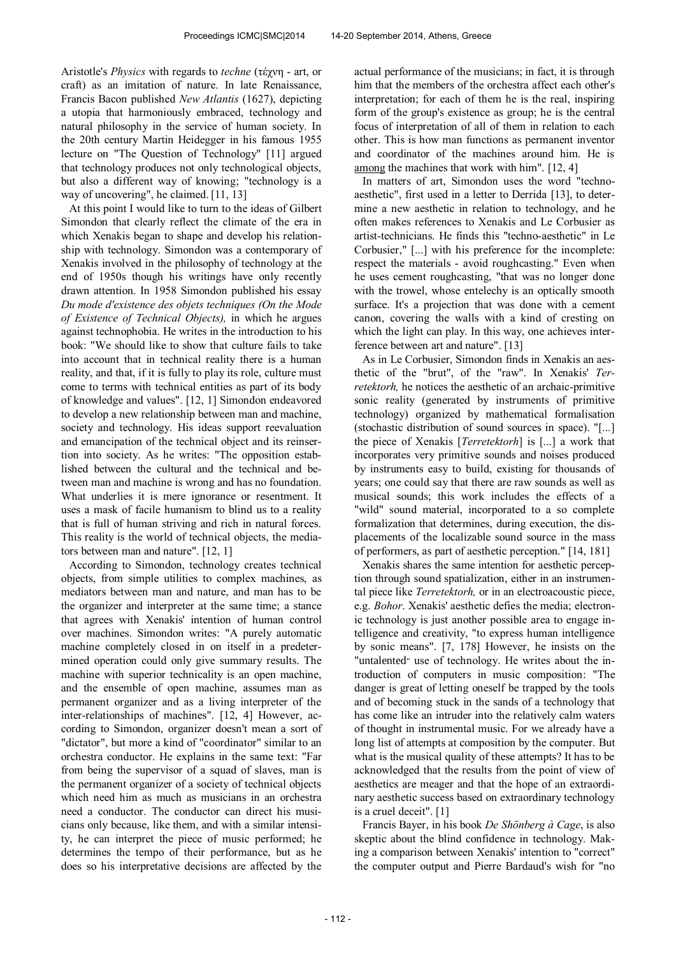Aristotle's *Physics* with regards to *techne* (τέχνη - art, or craft) as an imitation of nature. In late Renaissance, Francis Bacon published *New Atlantis* (1627), depicting a utopia that harmoniously embraced, technology and natural philosophy in the service of human society. In the 20th century Martin Heidegger in his famous 1955 lecture on "The Question of Technology" [11] argued that technology produces not only technological objects, but also a different way of knowing; "technology is a way of uncovering", he claimed. [11, 13]

At this point I would like to turn to the ideas of Gilbert Simondon that clearly reflect the climate of the era in which Xenakis began to shape and develop his relationship with technology. Simondon was a contemporary of Xenakis involved in the philosophy of technology at the end of 1950s though his writings have only recently drawn attention. In 1958 Simondon published his essay *Du mode d'existence des objets techniques (On the Mode of Existence of Technical Objects),* in which he argues against technophobia. He writes in the introduction to his book: "We should like to show that culture fails to take into account that in technical reality there is a human reality, and that, if it is fully to play its role, culture must come to terms with technical entities as part of its body of knowledge and values". [12, 1] Simondon endeavored to develop a new relationship between man and machine, society and technology. His ideas support reevaluation and emancipation of the technical object and its reinsertion into society. As he writes: "The opposition established between the cultural and the technical and between man and machine is wrong and has no foundation. What underlies it is mere ignorance or resentment. It uses a mask of facile humanism to blind us to a reality that is full of human striving and rich in natural forces. This reality is the world of technical objects, the mediators between man and nature". [12, 1]

According to Simondon, technology creates technical objects, from simple utilities to complex machines, as mediators between man and nature, and man has to be the organizer and interpreter at the same time; a stance that agrees with Xenakis' intention of human control over machines. Simondon writes: "A purely automatic machine completely closed in on itself in a predetermined operation could only give summary results. The machine with superior technicality is an open machine, and the ensemble of open machine, assumes man as permanent organizer and as a living interpreter of the inter-relationships of machines". [12, 4] However, according to Simondon, organizer doesn't mean a sort of "dictator", but more a kind of "coordinator" similar to an orchestra conductor. He explains in the same text: "Far from being the supervisor of a squad of slaves, man is the permanent organizer of a society of technical objects which need him as much as musicians in an orchestra need a conductor. The conductor can direct his musicians only because, like them, and with a similar intensity, he can interpret the piece of music performed; he determines the tempo of their performance, but as he does so his interpretative decisions are affected by the

actual performance of the musicians; in fact, it is through him that the members of the orchestra affect each other's interpretation; for each of them he is the real, inspiring form of the group's existence as group; he is the central focus of interpretation of all of them in relation to each other. This is how man functions as permanent inventor and coordinator of the machines around him. He is among the machines that work with him". [12, 4]

In matters of art, Simondon uses the word "technoaesthetic", first used in a letter to Derrida [13], to determine a new aesthetic in relation to technology, and he often makes references to Xenakis and Le Corbusier as artist-technicians. He finds this "techno-aesthetic" in Le Corbusier," [...] with his preference for the incomplete: respect the materials - avoid roughcasting." Even when he uses cement roughcasting, "that was no longer done with the trowel, whose entelechy is an optically smooth surface. It's a projection that was done with a cement canon, covering the walls with a kind of cresting on which the light can play. In this way, one achieves interference between art and nature". [13]

As in Le Corbusier, Simondon finds in Xenakis an aesthetic of the "brut", of the "raw". In Xenakis' *Terretektorh,* he notices the aesthetic of an archaic-primitive sonic reality (generated by instruments of primitive technology) organized by mathematical formalisation (stochastic distribution of sound sources in space). "[...] the piece of Xenakis [*Terretektorh*] is [...] a work that incorporates very primitive sounds and noises produced by instruments easy to build, existing for thousands of years; one could say that there are raw sounds as well as musical sounds; this work includes the effects of a "wild" sound material, incorporated to a so complete formalization that determines, during execution, the displacements of the localizable sound source in the mass of performers, as part of aesthetic perception." [14, 181]

Xenakis shares the same intention for aesthetic perception through sound spatialization, either in an instrumental piece like *Terretektorh,* or in an electroacoustic piece, e.g. *Bohor*. Xenakis' aesthetic defies the media; electronic technology is just another possible area to engage intelligence and creativity, "to express human intelligence by sonic means". [7, 178] However, he insists on the "untalented" use of technology. He writes about the introduction of computers in music composition: "The danger is great of letting oneself be trapped by the tools and of becoming stuck in the sands of a technology that has come like an intruder into the relatively calm waters of thought in instrumental music. For we already have a long list of attempts at composition by the computer. But what is the musical quality of these attempts? It has to be acknowledged that the results from the point of view of aesthetics are meager and that the hope of an extraordinary aesthetic success based on extraordinary technology is a cruel deceit". [1]

Francis Bayer, in his book *De Shönberg à Cage*, is also skeptic about the blind confidence in technology. Making a comparison between Xenakis' intention to "correct" the computer output and Pierre Bardaud's wish for "no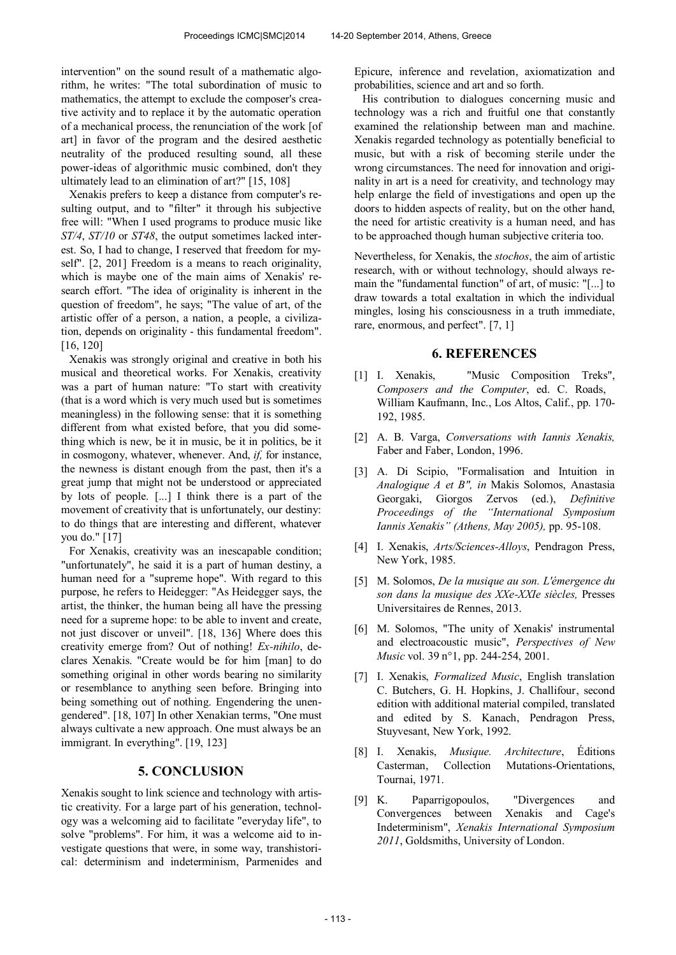intervention" on the sound result of a mathematic algorithm, he writes: "The total subordination of music to mathematics, the attempt to exclude the composer's creative activity and to replace it by the automatic operation of a mechanical process, the renunciation of the work [of art] in favor of the program and the desired aesthetic neutrality of the produced resulting sound, all these power-ideas of algorithmic music combined, don't they ultimately lead to an elimination of art?" [15, 108]

Xenakis prefers to keep a distance from computer's resulting output, and to "filter" it through his subjective free will: "When I used programs to produce music like *ST/4*, *ST/10* or *ST48*, the output sometimes lacked interest. So, I had to change, I reserved that freedom for myself". [2, 201] Freedom is a means to reach originality, which is maybe one of the main aims of Xenakis' research effort. "The idea of originality is inherent in the question of freedom", he says; "The value of art, of the artistic offer of a person, a nation, a people, a civilization, depends on originality - this fundamental freedom". [16, 120]

Xenakis was strongly original and creative in both his musical and theoretical works. For Xenakis, creativity was a part of human nature: "To start with creativity (that is a word which is very much used but is sometimes meaningless) in the following sense: that it is something different from what existed before, that you did something which is new, be it in music, be it in politics, be it in cosmogony, whatever, whenever. And, *if,* for instance, the newness is distant enough from the past, then it's a great jump that might not be understood or appreciated by lots of people. [...] I think there is a part of the movement of creativity that is unfortunately, our destiny: to do things that are interesting and different, whatever you do." [17]

For Xenakis, creativity was an inescapable condition; "unfortunately", he said it is a part of human destiny, a human need for a "supreme hope". With regard to this purpose, he refers to Heidegger: "As Heidegger says, the artist, the thinker, the human being all have the pressing need for a supreme hope: to be able to invent and create, not just discover or unveil". [18, 136] Where does this creativity emerge from? Out of nothing! *Ex-nihilo*, declares Xenakis. "Create would be for him [man] to do something original in other words bearing no similarity or resemblance to anything seen before. Bringing into being something out of nothing. Engendering the unengendered". [18, 107] In other Xenakian terms, "One must always cultivate a new approach. One must always be an immigrant. In everything". [19, 123]

#### **5. CONCLUSION**

Xenakis sought to link science and technology with artistic creativity. For a large part of his generation, technology was a welcoming aid to facilitate "everyday life", to solve "problems". For him, it was a welcome aid to investigate questions that were, in some way, transhistorical: determinism and indeterminism, Parmenides and Epicure, inference and revelation, axiomatization and probabilities, science and art and so forth.

His contribution to dialogues concerning music and technology was a rich and fruitful one that constantly examined the relationship between man and machine. Xenakis regarded technology as potentially beneficial to music, but with a risk of becoming sterile under the wrong circumstances. The need for innovation and originality in art is a need for creativity, and technology may help enlarge the field of investigations and open up the doors to hidden aspects of reality, but on the other hand, the need for artistic creativity is a human need, and has to be approached though human subjective criteria too.

Nevertheless, for Xenakis, the *stochos*, the aim of artistic research, with or without technology, should always remain the "fundamental function" of art, of music: "[...] to draw towards a total exaltation in which the individual mingles, losing his consciousness in a truth immediate, rare, enormous, and perfect". [7, 1]

#### **6. REFERENCES**

- [1] I. Xenakis, "Music Composition Treks", *Composers and the Computer*, ed. C. Roads, William Kaufmann, Inc., Los Altos, Calif., pp. 170- 192, 1985.
- [2] A. B. Varga, *Conversations with Iannis Xenakis,*  Faber and Faber, London, 1996.
- [3] A. Di Scipio, "Formalisation and Intuition in *Analogique A et B", in* Makis Solomos, Anastasia Georgaki, Giorgos Zervos (ed.), *Definitive Proceedings of the "International Symposium Iannis Xenakis" (Athens, May 2005),* pp. 95-108.
- [4] I. Xenakis, *Arts/Sciences-Alloys*, Pendragon Press, New York, 1985.
- [5] M. Solomos, *De la musique au son. L'émergence du son dans la musique des XXe-XXIe siècles,* Presses Universitaires de Rennes, 2013.
- [6] M. Solomos, "The unity of Xenakis' instrumental and electroacoustic music", *Perspectives of New Music* vol. 39 n°1, pp. 244-254, 2001.
- [7] I. Xenakis, *Formalized Music*, English translation C. Butchers, G. H. Hopkins, J. Challifour, second edition with additional material compiled, translated and edited by S. Kanach, Pendragon Press, Stuyvesant, New York, 1992.
- [8] I. Xenakis, *Musique. Architecture*, Éditions Casterman, Collection Mutations-Orientations, Tournai, 1971.
- [9] K. Paparrigopoulos, "Divergences and Convergences between Xenakis and Cage's Indeterminism", *Xenakis International Symposium 2011*, Goldsmiths, University of London.